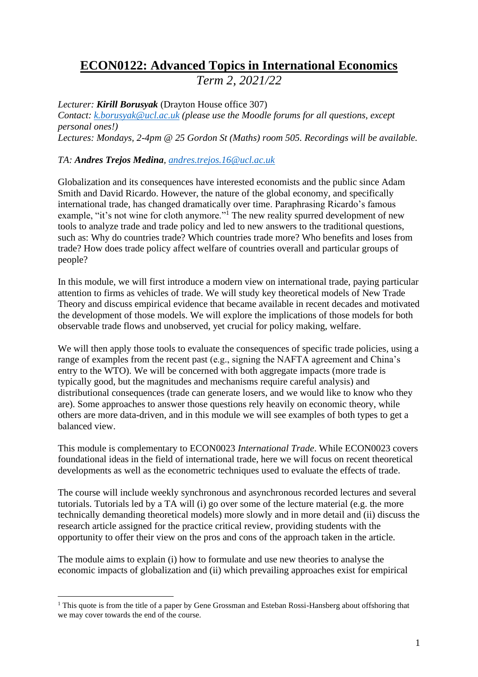# **ECON0122: Advanced Topics in International Economics**

*Term 2, 2021/22*

*Lecturer: Kirill Borusyak* (Drayton House office 307)

*Contact: [k.borusyak@ucl.ac.uk](mailto:k.borusyak@ucl.ac.uk) (please use the Moodle forums for all questions, except personal ones!) Lectures: Mondays, 2-4pm @ 25 Gordon St (Maths) room 505. Recordings will be available.*

# *TA: Andres Trejos Medina, [andres.trejos.16@ucl.ac.uk](mailto:andres.trejos.16@ucl.ac.uk)*

Globalization and its consequences have interested economists and the public since Adam Smith and David Ricardo. However, the nature of the global economy, and specifically international trade, has changed dramatically over time. Paraphrasing Ricardo's famous example, "it's not wine for cloth anymore."<sup>1</sup> The new reality spurred development of new tools to analyze trade and trade policy and led to new answers to the traditional questions, such as: Why do countries trade? Which countries trade more? Who benefits and loses from trade? How does trade policy affect welfare of countries overall and particular groups of people?

In this module, we will first introduce a modern view on international trade, paying particular attention to firms as vehicles of trade. We will study key theoretical models of New Trade Theory and discuss empirical evidence that became available in recent decades and motivated the development of those models. We will explore the implications of those models for both observable trade flows and unobserved, yet crucial for policy making, welfare.

We will then apply those tools to evaluate the consequences of specific trade policies, using a range of examples from the recent past (e.g., signing the NAFTA agreement and China's entry to the WTO). We will be concerned with both aggregate impacts (more trade is typically good, but the magnitudes and mechanisms require careful analysis) and distributional consequences (trade can generate losers, and we would like to know who they are). Some approaches to answer those questions rely heavily on economic theory, while others are more data-driven, and in this module we will see examples of both types to get a balanced view.

This module is complementary to ECON0023 *International Trade*. While ECON0023 covers foundational ideas in the field of international trade, here we will focus on recent theoretical developments as well as the econometric techniques used to evaluate the effects of trade.

The course will include weekly synchronous and asynchronous recorded lectures and several tutorials. Tutorials led by a TA will (i) go over some of the lecture material (e.g. the more technically demanding theoretical models) more slowly and in more detail and (ii) discuss the research article assigned for the practice critical review, providing students with the opportunity to offer their view on the pros and cons of the approach taken in the article.

The module aims to explain (i) how to formulate and use new theories to analyse the economic impacts of globalization and (ii) which prevailing approaches exist for empirical

<sup>&</sup>lt;sup>1</sup> This quote is from the title of a paper by Gene Grossman and Esteban Rossi-Hansberg about offshoring that we may cover towards the end of the course.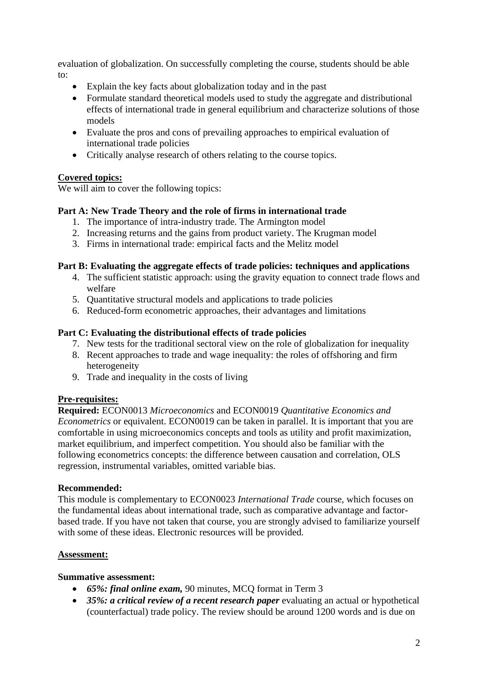evaluation of globalization. On successfully completing the course, students should be able to:

- Explain the key facts about globalization today and in the past
- Formulate standard theoretical models used to study the aggregate and distributional effects of international trade in general equilibrium and characterize solutions of those models
- Evaluate the pros and cons of prevailing approaches to empirical evaluation of international trade policies
- Critically analyse research of others relating to the course topics.

# **Covered topics:**

We will aim to cover the following topics:

# **Part A: New Trade Theory and the role of firms in international trade**

- 1. The importance of intra-industry trade. The Armington model
- 2. Increasing returns and the gains from product variety. The Krugman model
- 3. Firms in international trade: empirical facts and the Melitz model

## **Part B: Evaluating the aggregate effects of trade policies: techniques and applications**

- 4. The sufficient statistic approach: using the gravity equation to connect trade flows and welfare
- 5. Quantitative structural models and applications to trade policies
- 6. Reduced-form econometric approaches, their advantages and limitations

## **Part C: Evaluating the distributional effects of trade policies**

- 7. New tests for the traditional sectoral view on the role of globalization for inequality
- 8. Recent approaches to trade and wage inequality: the roles of offshoring and firm heterogeneity
- 9. Trade and inequality in the costs of living

## **Pre-requisites:**

**Required:** ECON0013 *Microeconomics* and ECON0019 *Quantitative Economics and Econometrics* or equivalent. ECON0019 can be taken in parallel. It is important that you are comfortable in using microeconomics concepts and tools as utility and profit maximization, market equilibrium, and imperfect competition. You should also be familiar with the following econometrics concepts: the difference between causation and correlation, OLS regression, instrumental variables, omitted variable bias.

#### **Recommended:**

This module is complementary to ECON0023 *International Trade* course, which focuses on the fundamental ideas about international trade, such as comparative advantage and factorbased trade. If you have not taken that course, you are strongly advised to familiarize yourself with some of these ideas. Electronic resources will be provided.

## **Assessment:**

## **Summative assessment:**

- *65%: final online exam,* 90 minutes, MCQ format in Term 3
- *35%: a critical review of a recent research paper* evaluating an actual or hypothetical (counterfactual) trade policy. The review should be around 1200 words and is due on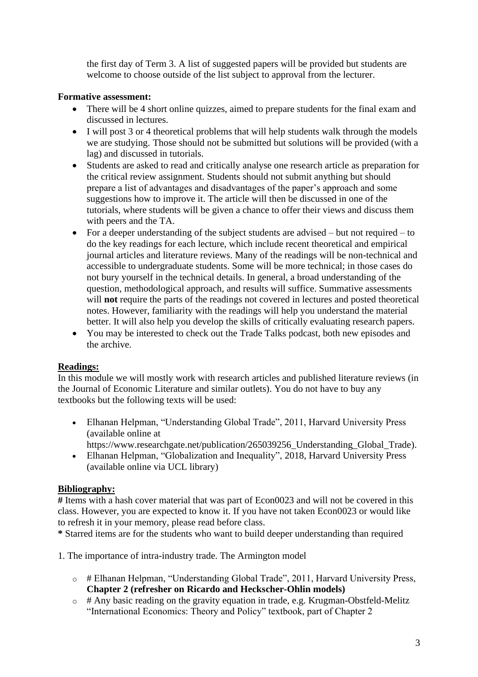the first day of Term 3. A list of suggested papers will be provided but students are welcome to choose outside of the list subject to approval from the lecturer.

## **Formative assessment:**

- There will be 4 short online quizzes, aimed to prepare students for the final exam and discussed in lectures.
- I will post 3 or 4 theoretical problems that will help students walk through the models we are studying. Those should not be submitted but solutions will be provided (with a lag) and discussed in tutorials.
- Students are asked to read and critically analyse one research article as preparation for the critical review assignment. Students should not submit anything but should prepare a list of advantages and disadvantages of the paper's approach and some suggestions how to improve it. The article will then be discussed in one of the tutorials, where students will be given a chance to offer their views and discuss them with peers and the TA.
- For a deeper understanding of the subject students are advised but not required to do the key readings for each lecture, which include recent theoretical and empirical journal articles and literature reviews. Many of the readings will be non-technical and accessible to undergraduate students. Some will be more technical; in those cases do not bury yourself in the technical details. In general, a broad understanding of the question, methodological approach, and results will suffice. Summative assessments will **not** require the parts of the readings not covered in lectures and posted theoretical notes. However, familiarity with the readings will help you understand the material better. It will also help you develop the skills of critically evaluating research papers.
- You may be interested to check out the Trade Talks podcast, both new episodes and the archive.

## **Readings:**

In this module we will mostly work with research articles and published literature reviews (in the Journal of Economic Literature and similar outlets). You do not have to buy any textbooks but the following texts will be used:

- Elhanan Helpman, "Understanding Global Trade", 2011, Harvard University Press (available online at
	- https://www.researchgate.net/publication/265039256\_Understanding\_Global\_Trade).
- Elhanan Helpman, "Globalization and Inequality", 2018, Harvard University Press (available online via UCL library)

## **Bibliography:**

**#** Items with a hash cover material that was part of Econ0023 and will not be covered in this class. However, you are expected to know it. If you have not taken Econ0023 or would like to refresh it in your memory, please read before class.

**\*** Starred items are for the students who want to build deeper understanding than required

1. The importance of intra-industry trade. The Armington model

- o # Elhanan Helpman, "Understanding Global Trade", 2011, Harvard University Press, **Chapter 2 (refresher on Ricardo and Heckscher-Ohlin models)**
- o # Any basic reading on the gravity equation in trade, e.g. Krugman-Obstfeld-Melitz "International Economics: Theory and Policy" textbook, part of Chapter 2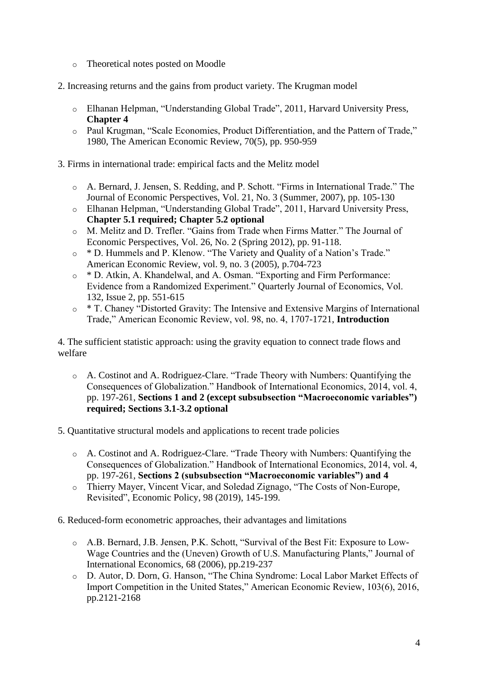- o Theoretical notes posted on Moodle
- 2. Increasing returns and the gains from product variety. The Krugman model
	- o Elhanan Helpman, "Understanding Global Trade", 2011, Harvard University Press, **Chapter 4**
	- o Paul Krugman, "Scale Economies, Product Differentiation, and the Pattern of Trade," 1980, The American Economic Review, 70(5), pp. 950-959
- 3. Firms in international trade: empirical facts and the Melitz model
	- o A. Bernard, J. Jensen, S. Redding, and P. Schott. "Firms in International Trade." The Journal of Economic Perspectives, Vol. 21, No. 3 (Summer, 2007), pp. 105-130
	- o Elhanan Helpman, "Understanding Global Trade", 2011, Harvard University Press, **Chapter 5.1 required; Chapter 5.2 optional**
	- o M. Melitz and D. Trefler. "Gains from Trade when Firms Matter." The Journal of Economic Perspectives, Vol. 26, No. 2 (Spring 2012), pp. 91-118.
	- o \* D. Hummels and P. Klenow. "The Variety and Quality of a Nation's Trade." American Economic Review, vol. 9, no. 3 (2005), p.704-723
	- o \* D. Atkin, A. Khandelwal, and A. Osman. "Exporting and Firm Performance: Evidence from a Randomized Experiment." Quarterly Journal of Economics, Vol. 132, Issue 2, pp. 551-615
	- \* T. Chaney "Distorted Gravity: The Intensive and Extensive Margins of International Trade," American Economic Review, vol. 98, no. 4, 1707-1721, **Introduction**

4. The sufficient statistic approach: using the gravity equation to connect trade flows and welfare

- o A. Costinot and A. Rodriguez-Clare. "Trade Theory with Numbers: Quantifying the Consequences of Globalization." Handbook of International Economics, 2014, vol. 4, pp. 197-261, **Sections 1 and 2 (except subsubsection "Macroeconomic variables") required; Sections 3.1-3.2 optional**
- 5. Quantitative structural models and applications to recent trade policies
	- o A. Costinot and A. Rodriguez-Clare. "Trade Theory with Numbers: Quantifying the Consequences of Globalization." Handbook of International Economics, 2014, vol. 4, pp. 197-261, **Sections 2 (subsubsection "Macroeconomic variables") and 4**
	- o Thierry Mayer, Vincent Vicar, and Soledad Zignago, "The Costs of Non-Europe, Revisited", Economic Policy, 98 (2019), 145-199.
- 6. Reduced-form econometric approaches, their advantages and limitations
	- o A.B. Bernard, J.B. Jensen, P.K. Schott, "Survival of the Best Fit: Exposure to Low-Wage Countries and the (Uneven) Growth of U.S. Manufacturing Plants," Journal of International Economics, 68 (2006), pp.219-237
	- o D. Autor, D. Dorn, G. Hanson, "The China Syndrome: Local Labor Market Effects of Import Competition in the United States," American Economic Review, 103(6), 2016, pp.2121-2168